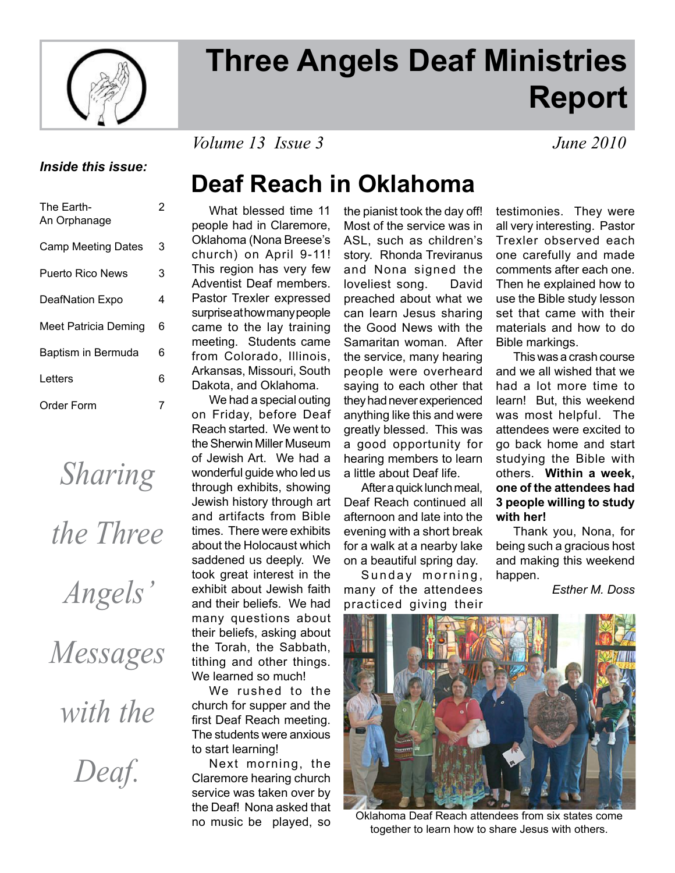

# **Three Angels Deaf Ministries Report**

*Volume 13 Issue 3 June 2010*

#### *Inside this issue:*

| The Earth-<br>An Orphanage | 2 |
|----------------------------|---|
| <b>Camp Meeting Dates</b>  | 3 |
| <b>Puerto Rico News</b>    | 3 |
| DeafNation Expo            | 4 |
| Meet Patricia Deming       | 6 |
| Baptism in Bermuda         | 6 |
| Letters                    | 6 |
| Order Form                 |   |

*Sharing* 

*the Three* 

*Angels'* 

*Messages* 

*with the* 

*Deaf.*

### **Deaf Reach in Oklahoma**

 What blessed time 11 people had in Claremore, Oklahoma (Nona Breese's church) on April 9-11! This region has very few Adventist Deaf members. Pastor Trexler expressed surprise at how many people came to the lay training meeting. Students came from Colorado, Illinois, Arkansas, Missouri, South Dakota, and Oklahoma.

 We had a special outing on Friday, before Deaf Reach started. We went to the Sherwin Miller Museum of Jewish Art. We had a wonderful guide who led us through exhibits, showing Jewish history through art and artifacts from Bible times. There were exhibits about the Holocaust which saddened us deeply. We took great interest in the exhibit about Jewish faith and their beliefs. We had many questions about their beliefs, asking about the Torah, the Sabbath, tithing and other things. We learned so much!

 We rushed to the church for supper and the first Deaf Reach meeting. The students were anxious to start learning!

 Next morning, the Claremore hearing church service was taken over by the Deaf! Nona asked that no music be played, so

the pianist took the day off! Most of the service was in ASL, such as children's story. Rhonda Treviranus and Nona signed the loveliest song. David preached about what we can learn Jesus sharing the Good News with the Samaritan woman. After the service, many hearing people were overheard saying to each other that they had never experienced anything like this and were greatly blessed. This was a good opportunity for hearing members to learn a little about Deaf life.

 After a quick lunch meal, Deaf Reach continued all afternoon and late into the evening with a short break for a walk at a nearby lake on a beautiful spring day.

Sunday morning, many of the attendees practiced giving their testimonies. They were all very interesting. Pastor Trexler observed each one carefully and made comments after each one. Then he explained how to use the Bible study lesson set that came with their materials and how to do Bible markings.

 This was a crash course and we all wished that we had a lot more time to learn! But, this weekend was most helpful. The attendees were excited to go back home and start studying the Bible with others. **Within a week, one of the attendees had 3 people willing to study with her!**

 Thank you, Nona, for being such a gracious host and making this weekend happen.

*Esther M. Doss*



Oklahoma Deaf Reach attendees from six states come together to learn how to share Jesus with others.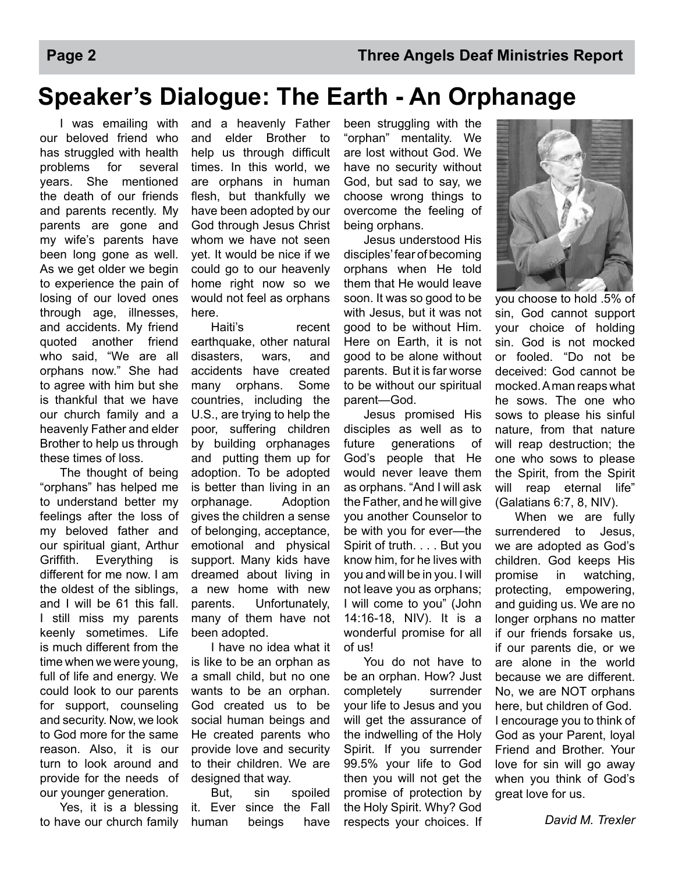### **Speaker's Dialogue: The Earth - An Orphanage**

 I was emailing with our beloved friend who has struggled with health problems for several years. She mentioned the death of our friends and parents recently. My parents are gone and my wife's parents have been long gone as well. As we get older we begin to experience the pain of losing of our loved ones through age, illnesses, and accidents. My friend quoted another friend who said, "We are all orphans now." She had to agree with him but she is thankful that we have our church family and a heavenly Father and elder Brother to help us through these times of loss.

 The thought of being "orphans" has helped me to understand better my feelings after the loss of my beloved father and our spiritual giant, Arthur Griffith. Everything is different for me now. I am the oldest of the siblings, and I will be 61 this fall. I still miss my parents keenly sometimes. Life is much different from the time when we were young, full of life and energy. We could look to our parents for support, counseling and security. Now, we look to God more for the same reason. Also, it is our turn to look around and provide for the needs of our younger generation.

 Yes, it is a blessing to have our church family

and a heavenly Father and elder Brother to help us through difficult times. In this world, we are orphans in human flesh, but thankfully we have been adopted by our God through Jesus Christ whom we have not seen yet. It would be nice if we could go to our heavenly home right now so we would not feel as orphans here.

 Haiti's recent earthquake, other natural disasters, wars, and accidents have created many orphans. Some countries, including the U.S., are trying to help the poor, suffering children by building orphanages and putting them up for adoption. To be adopted is better than living in an orphanage. Adoption gives the children a sense of belonging, acceptance, emotional and physical support. Many kids have dreamed about living in a new home with new parents. Unfortunately, many of them have not been adopted.

 I have no idea what it is like to be an orphan as a small child, but no one wants to be an orphan. God created us to be social human beings and He created parents who provide love and security to their children. We are designed that way.

 But, sin spoiled it. Ever since the Fall human beings have

been struggling with the "orphan" mentality. We are lost without God. We have no security without God, but sad to say, we choose wrong things to overcome the feeling of being orphans.

 Jesus understood His disciples' fear of becoming orphans when He told them that He would leave soon. It was so good to be with Jesus, but it was not good to be without Him. Here on Earth, it is not good to be alone without parents. But it is far worse to be without our spiritual parent—God.

 Jesus promised His disciples as well as to future generations of God's people that He would never leave them as orphans. "And I will ask the Father, and he will give you another Counselor to be with you for ever—the Spirit of truth. . . . But you know him, for he lives with you and will be in you. I will not leave you as orphans; I will come to you" (John 14:16-18, NIV). It is a wonderful promise for all of us!

 You do not have to be an orphan. How? Just completely surrender your life to Jesus and you will get the assurance of the indwelling of the Holy Spirit. If you surrender 99.5% your life to God then you will not get the promise of protection by the Holy Spirit. Why? God respects your choices. If



you choose to hold .5% of sin, God cannot support your choice of holding sin. God is not mocked or fooled. "Do not be deceived: God cannot be mocked. A man reaps what he sows. The one who sows to please his sinful nature, from that nature will reap destruction; the one who sows to please the Spirit, from the Spirit will reap eternal life" (Galatians 6:7, 8, NIV).

 When we are fully surrendered to Jesus, we are adopted as God's children. God keeps His promise in watching, protecting, empowering, and guiding us. We are no longer orphans no matter if our friends forsake us, if our parents die, or we are alone in the world because we are different. No, we are NOT orphans here, but children of God. I encourage you to think of God as your Parent, loyal Friend and Brother. Your love for sin will go away when you think of God's great love for us.

*David M. Trexler*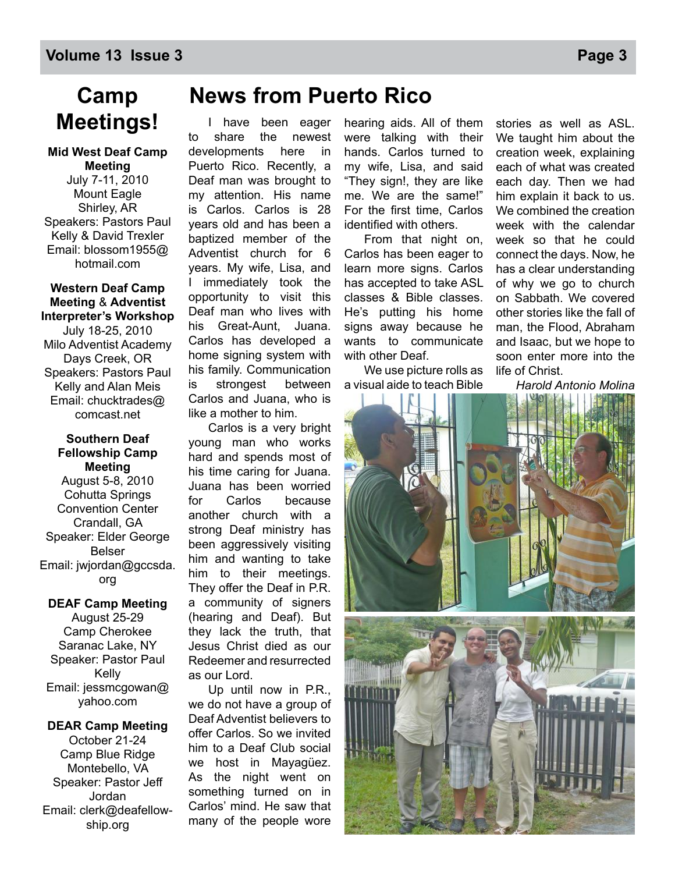### **Camp Meetings!**

#### **Mid West Deaf Camp Meeting**

July 7-11, 2010 Mount Eagle Shirley, AR Speakers: Pastors Paul Kelly & David Trexler Email: blossom1955@ hotmail.com

#### **Western Deaf Camp Meeting** & **Adventist Interpreter's Workshop**

July 18-25, 2010 Milo Adventist Academy Days Creek, OR Speakers: Pastors Paul Kelly and Alan Meis Email: chucktrades@ comcast.net

#### **Southern Deaf Fellowship Camp Meeting**

August 5-8, 2010 Cohutta Springs Convention Center Crandall, GA Speaker: Elder George Belser Email: jwjordan@gccsda. org

#### **DEAF Camp Meeting** August 25-29 Camp Cherokee Saranac Lake, NY Speaker: Pastor Paul Kelly Email: jessmcgowan@

yahoo.com

#### **DEAR Camp Meeting** October 21-24 Camp Blue Ridge Montebello, VA Speaker: Pastor Jeff Jordan Email: clerk@deafellowship.org

### **News from Puerto Rico**

I have been eager to share the newest developments here in Puerto Rico. Recently, a Deaf man was brought to my attention. His name is Carlos. Carlos is 28 years old and has been a baptized member of the Adventist church for 6 years. My wife, Lisa, and I immediately took the opportunity to visit this Deaf man who lives with his Great-Aunt, Juana. Carlos has developed a home signing system with his family. Communication is strongest between Carlos and Juana, who is like a mother to him.

Carlos is a very bright young man who works hard and spends most of his time caring for Juana. Juana has been worried for Carlos because another church with a strong Deaf ministry has been aggressively visiting him and wanting to take him to their meetings. They offer the Deaf in P.R. a community of signers (hearing and Deaf). But they lack the truth, that Jesus Christ died as our Redeemer and resurrected as our Lord.

Up until now in P.R., we do not have a group of Deaf Adventist believers to offer Carlos. So we invited him to a Deaf Club social we host in Mayagüez. As the night went on something turned on in Carlos' mind. He saw that many of the people wore

hearing aids. All of them were talking with their hands. Carlos turned to my wife, Lisa, and said "They sign!, they are like me. We are the same!" For the first time, Carlos identified with others.

From that night on, Carlos has been eager to learn more signs. Carlos has accepted to take ASL classes & Bible classes. He's putting his home signs away because he wants to communicate with other Deaf.

We use picture rolls as a visual aide to teach Bible stories as well as ASL. We taught him about the creation week, explaining each of what was created each day. Then we had him explain it back to us. We combined the creation week with the calendar week so that he could connect the days. Now, he has a clear understanding of why we go to church on Sabbath. We covered other stories like the fall of man, the Flood, Abraham and Isaac, but we hope to soon enter more into the life of Christ.

*Harold Antonio Molina*

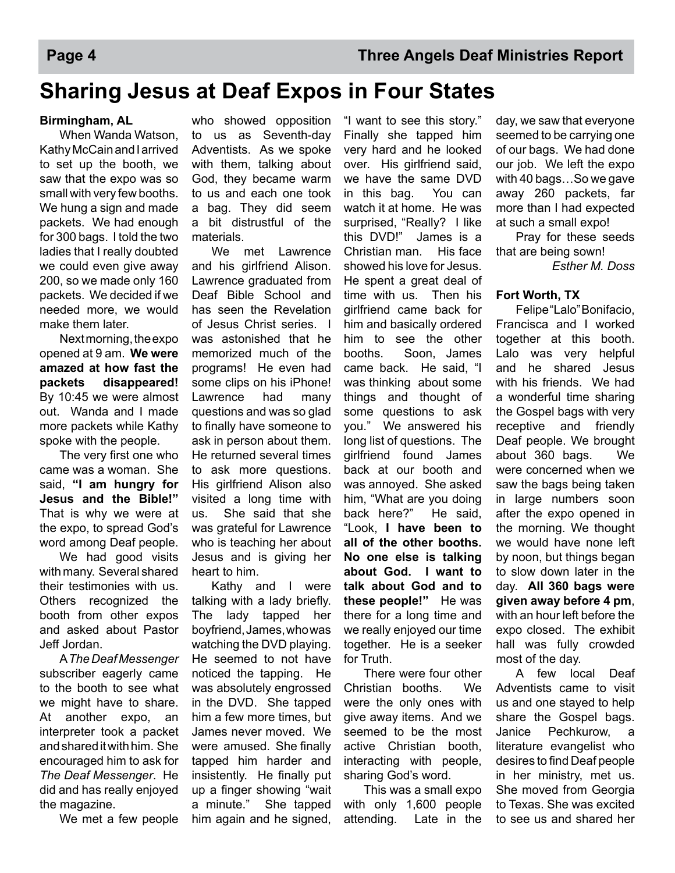### **Sharing Jesus at Deaf Expos in Four States**

#### **Birmingham, AL**

 When Wanda Watson, Kathy McCain and I arrived to set up the booth, we saw that the expo was so small with very few booths. We hung a sign and made packets. We had enough for 300 bags. I told the two ladies that I really doubted we could even give away 200, so we made only 160 packets. We decided if we needed more, we would make them later.

 Next morning, the expo opened at 9 am. **We were amazed at how fast the packets disappeared!** By 10:45 we were almost out. Wanda and I made more packets while Kathy spoke with the people.

The very first one who came was a woman. She said, **"I am hungry for Jesus and the Bible!"**  That is why we were at the expo, to spread God's word among Deaf people.

We had good visits with many. Several shared their testimonies with us. Others recognized the booth from other expos and asked about Pastor Jeff Jordan.

 A *The Deaf Messenger*  subscriber eagerly came to the booth to see what we might have to share. At another expo, an interpreter took a packet and shared it with him. She encouraged him to ask for *The Deaf Messenger*. He did and has really enjoyed the magazine.

We met a few people

who showed opposition to us as Seventh-day Adventists. As we spoke with them, talking about God, they became warm to us and each one took a bag. They did seem a bit distrustful of the materials.

 We met Lawrence and his girlfriend Alison. Lawrence graduated from Deaf Bible School and has seen the Revelation of Jesus Christ series. I was astonished that he memorized much of the programs! He even had some clips on his iPhone! Lawrence had many questions and was so glad to finally have someone to ask in person about them. He returned several times to ask more questions. His girlfriend Alison also visited a long time with us. She said that she was grateful for Lawrence who is teaching her about Jesus and is giving her heart to him.

 Kathy and I were talking with a lady briefly. The lady tapped her boyfriend, James, who was watching the DVD playing. He seemed to not have noticed the tapping. He was absolutely engrossed in the DVD. She tapped him a few more times, but James never moved. We were amused. She finally tapped him harder and insistently. He finally put up a finger showing "wait a minute." She tapped him again and he signed,

"I want to see this story." Finally she tapped him very hard and he looked over. His girlfriend said, we have the same DVD in this bag. You can watch it at home. He was surprised, "Really? I like this DVD!" James is a Christian man. His face showed his love for Jesus. He spent a great deal of time with us. Then his girlfriend came back for him and basically ordered him to see the other booths. Soon, James came back. He said, "I was thinking about some things and thought of some questions to ask you." We answered his long list of questions. The girlfriend found James back at our booth and was annoyed. She asked him, "What are you doing back here?" He said, "Look, **I have been to all of the other booths. No one else is talking about God. I want to talk about God and to these people!"** He was there for a long time and we really enjoyed our time together. He is a seeker for Truth.

 There were four other Christian booths. We were the only ones with give away items. And we seemed to be the most active Christian booth, interacting with people, sharing God's word.

 This was a small expo with only 1,600 people attending. Late in the

day, we saw that everyone seemed to be carrying one of our bags. We had done our job. We left the expo with 40 bags…So we gave away 260 packets, far more than I had expected at such a small expo!

 Pray for these seeds that are being sown!

*Esther M. Doss*

#### **Fort Worth, TX**

 Felipe "Lalo" Bonifacio, Francisca and I worked together at this booth. Lalo was very helpful and he shared Jesus with his friends. We had a wonderful time sharing the Gospel bags with very receptive and friendly Deaf people. We brought about 360 bags. We were concerned when we saw the bags being taken in large numbers soon after the expo opened in the morning. We thought we would have none left by noon, but things began to slow down later in the day. **All 360 bags were given away before 4 pm**, with an hour left before the expo closed. The exhibit hall was fully crowded most of the day.

 A few local Deaf Adventists came to visit us and one stayed to help share the Gospel bags. Janice Pechkurow, a literature evangelist who desires to find Deaf people in her ministry, met us. She moved from Georgia to Texas. She was excited to see us and shared her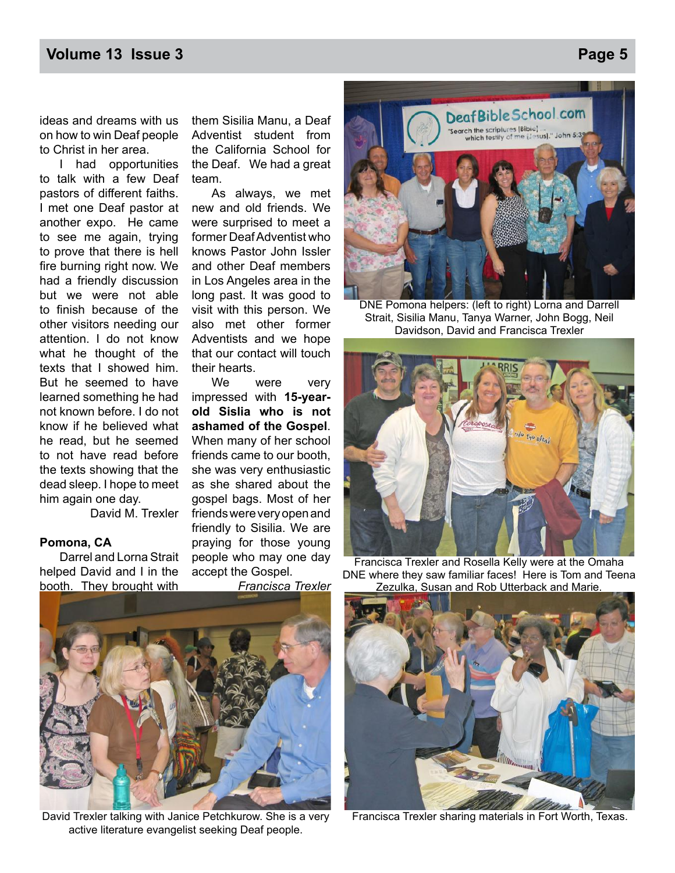#### **Volume 13 Issue 3** Page 5

ideas and dreams with us on how to win Deaf people to Christ in her area.

 I had opportunities to talk with a few Deaf pastors of different faiths. I met one Deaf pastor at another expo. He came to see me again, trying to prove that there is hell fire burning right now. We had a friendly discussion but we were not able to finish because of the other visitors needing our attention. I do not know what he thought of the texts that I showed him. But he seemed to have learned something he had not known before. I do not know if he believed what he read, but he seemed to not have read before the texts showing that the dead sleep. I hope to meet him again one day.

David M. Trexler

#### **Pomona, CA**

 Darrel and Lorna Strait helped David and I in the booth. They brought with

them Sisilia Manu, a Deaf Adventist student from the California School for the Deaf. We had a great team.

 As always, we met new and old friends. We were surprised to meet a former Deaf Adventist who knows Pastor John Issler and other Deaf members in Los Angeles area in the long past. It was good to visit with this person. We also met other former Adventists and we hope that our contact will touch their hearts.

We were very impressed with **15-yearold Sislia who is not ashamed of the Gospel**. When many of her school friends came to our booth, she was very enthusiastic as she shared about the gospel bags. Most of her friends were very open and friendly to Sisilia. We are praying for those young people who may one day accept the Gospel.

*Francisca Trexler*



DNE Pomona helpers: (left to right) Lorna and Darrell Strait, Sisilia Manu, Tanya Warner, John Bogg, Neil Davidson, David and Francisca Trexler



Francisca Trexler and Rosella Kelly were at the Omaha DNE where they saw familiar faces! Here is Tom and Teena Zezulka, Susan and Rob Utterback and Marie.



David Trexler talking with Janice Petchkurow. She is a very active literature evangelist seeking Deaf people.



Francisca Trexler sharing materials in Fort Worth, Texas.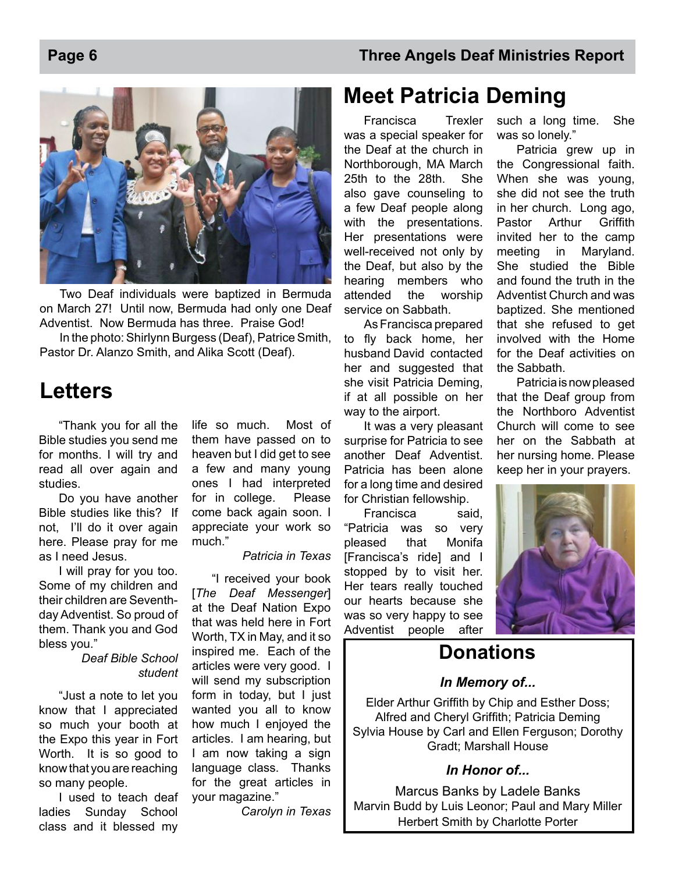



Two Deaf individuals were baptized in Bermuda on March 27! Until now, Bermuda had only one Deaf Adventist. Now Bermuda has three. Praise God!

In the photo: Shirlynn Burgess (Deaf), Patrice Smith, Pastor Dr. Alanzo Smith, and Alika Scott (Deaf).

### **Letters**

"Thank you for all the Bible studies you send me for months. I will try and read all over again and studies.

Do you have another Bible studies like this? If not, I'll do it over again here. Please pray for me as I need Jesus.

I will pray for you too. Some of my children and their children are Seventhday Adventist. So proud of them. Thank you and God bless you."

> *Deaf Bible School student*

"Just a note to let you know that I appreciated so much your booth at the Expo this year in Fort Worth. It is so good to know that you are reaching so many people.

I used to teach deaf ladies Sunday School class and it blessed my life so much. Most of them have passed on to heaven but I did get to see a few and many young ones I had interpreted for in college. Please come back again soon. I appreciate your work so much."

#### *Patricia in Texas*

"I received your book [*The Deaf Messenger*] at the Deaf Nation Expo that was held here in Fort Worth, TX in May, and it so inspired me. Each of the articles were very good. I will send my subscription form in today, but I just wanted you all to know how much I enjoyed the articles. I am hearing, but I am now taking a sign language class. Thanks for the great articles in your magazine."

*Carolyn in Texas*

### **Meet Patricia Deming**

 Francisca Trexler was a special speaker for the Deaf at the church in Northborough, MA March 25th to the 28th. She also gave counseling to a few Deaf people along with the presentations. Her presentations were well-received not only by the Deaf, but also by the hearing members who attended the worship service on Sabbath.

 As Francisca prepared to fly back home, her husband David contacted her and suggested that she visit Patricia Deming, if at all possible on her way to the airport.

 It was a very pleasant surprise for Patricia to see another Deaf Adventist. Patricia has been alone for a long time and desired for Christian fellowship.

 Francisca said, "Patricia was so very pleased that Monifa [Francisca's ride] and I stopped by to visit her. Her tears really touched our hearts because she was so very happy to see Adventist people after

such a long time. She was so lonely."

 Patricia grew up in the Congressional faith. When she was young, she did not see the truth in her church. Long ago, Pastor Arthur Griffith invited her to the camp meeting in Maryland. She studied the Bible and found the truth in the Adventist Church and was baptized. She mentioned that she refused to get involved with the Home for the Deaf activities on the Sabbath.

Patricia is now pleased that the Deaf group from the Northboro Adventist Church will come to see her on the Sabbath at her nursing home. Please keep her in your prayers.



### **Donations**

#### *In Memory of...*

Elder Arthur Griffith by Chip and Esther Doss; Alfred and Cheryl Griffith; Patricia Deming Sylvia House by Carl and Ellen Ferguson; Dorothy Gradt; Marshall House

#### *In Honor of...*

Marcus Banks by Ladele Banks Marvin Budd by Luis Leonor; Paul and Mary Miller Herbert Smith by Charlotte Porter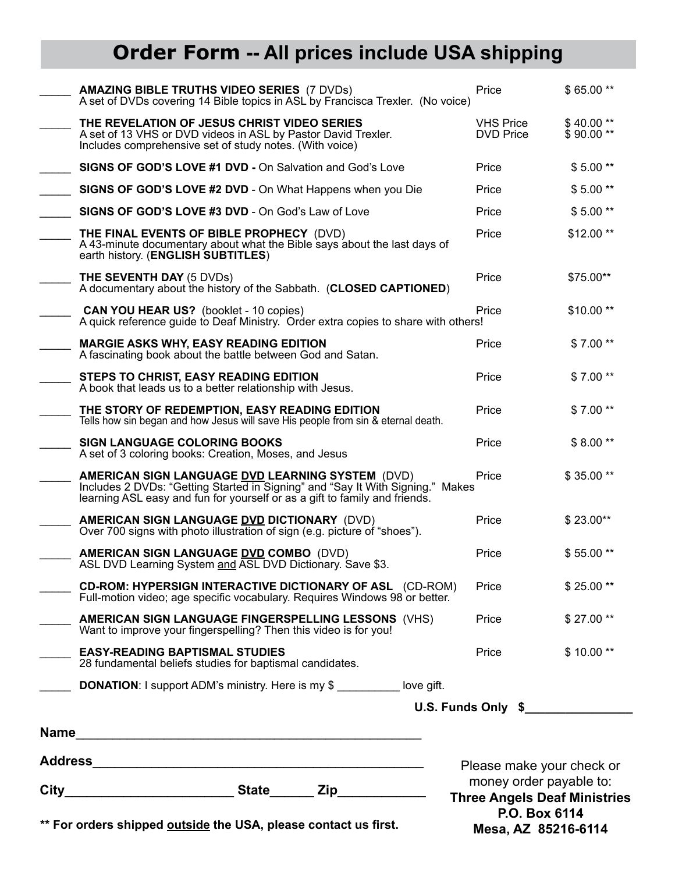## **Order Form -- All prices include USA shipping**

| money order payable to:<br><b>Three Angels Deaf Ministries</b><br>P.O. Box 6114<br>** For orders shipped outside the USA, please contact us first.<br>Mesa, AZ 85216-6114 |                                                                                                                                                                                                                         |                                      |                         |
|---------------------------------------------------------------------------------------------------------------------------------------------------------------------------|-------------------------------------------------------------------------------------------------------------------------------------------------------------------------------------------------------------------------|--------------------------------------|-------------------------|
|                                                                                                                                                                           |                                                                                                                                                                                                                         | Please make your check or            |                         |
|                                                                                                                                                                           |                                                                                                                                                                                                                         |                                      |                         |
|                                                                                                                                                                           |                                                                                                                                                                                                                         |                                      | U.S. Funds Only \$      |
|                                                                                                                                                                           | 28 fundamental beliefs studies for baptismal candidates.<br><b>DONATION:</b> I support ADM's ministry. Here is my \$ love gift.                                                                                         |                                      |                         |
|                                                                                                                                                                           | AMERICAN SIGN LANGUAGE FINGERSPELLING LESSONS (VHS)<br>Want to improve your fingerspelling? Then this video is for you!<br><b>EASY-READING BAPTISMAL STUDIES</b>                                                        | Price<br>Price                       | \$27.00**<br>$$10.00**$ |
|                                                                                                                                                                           | CD-ROM: HYPERSIGN INTERACTIVE DICTIONARY OF ASL (CD-ROM)<br>Full-motion video; age specific vocabulary. Requires Windows 98 or better.                                                                                  | Price                                | $$25.00**$              |
|                                                                                                                                                                           | AMERICAN SIGN LANGUAGE DVD COMBO (DVD)<br>ASL DVD Learning System and ASL DVD Dictionary. Save \$3.                                                                                                                     | Price                                | $$55.00**$              |
|                                                                                                                                                                           | AMERICAN SIGN LANGUAGE DVD DICTIONARY (DVD)<br>Over 700 signs with photo illustration of sign (e.g. picture of "shoes").                                                                                                | Price                                | \$23.00**               |
|                                                                                                                                                                           | <b>AMERICAN SIGN LANGUAGE DVD LEARNING SYSTEM (DVD)</b><br>Includes 2 DVDs: "Getting Started in Signing" and "Say It With Signing." Makes<br>learning ASL easy and fun for yourself or as a gift to family and friends. | Price                                | \$35.00**               |
|                                                                                                                                                                           | <b>SIGN LANGUAGE COLORING BOOKS</b><br>A set of 3 coloring books: Creation, Moses, and Jesus                                                                                                                            | Price                                | $$8.00**$               |
|                                                                                                                                                                           | THE STORY OF REDEMPTION, EASY READING EDITION<br>Tells how sin began and how Jesus will save His people from sin & eternal death.                                                                                       | Price                                | $$7.00**$               |
|                                                                                                                                                                           | STEPS TO CHRIST, EASY READING EDITION<br>A book that leads us to a better relationship with Jesus.                                                                                                                      | Price                                | $$7.00**$               |
|                                                                                                                                                                           | <b>MARGIE ASKS WHY, EASY READING EDITION</b><br>A fascinating book about the battle between God and Satan.                                                                                                              | Price                                | $$7.00**$               |
|                                                                                                                                                                           | <b>CAN YOU HEAR US?</b> (booklet - 10 copies)<br>A quick reference guide to Deaf Ministry. Order extra copies to share with others!                                                                                     | Price                                | $$10.00**$              |
|                                                                                                                                                                           | <b>THE SEVENTH DAY (5 DVDs)</b><br>A documentary about the history of the Sabbath. (CLOSED CAPTIONED)                                                                                                                   | Price                                | \$75.00**               |
|                                                                                                                                                                           | THE FINAL EVENTS OF BIBLE PROPHECY (DVD)<br>A 43-minute documentary about what the Bible says about the last days of<br>earth history. (ENGLISH SUBTITLES)                                                              | Price                                | $$12.00**$              |
|                                                                                                                                                                           | SIGNS OF GOD'S LOVE #3 DVD - On God's Law of Love                                                                                                                                                                       | Price                                | $$5.00**$               |
|                                                                                                                                                                           | SIGNS OF GOD'S LOVE #2 DVD - On What Happens when you Die                                                                                                                                                               | Price                                | $$5.00**$               |
|                                                                                                                                                                           | SIGNS OF GOD'S LOVE #1 DVD - On Salvation and God's Love                                                                                                                                                                | Price                                | $$5.00**$               |
|                                                                                                                                                                           | THE REVELATION OF JESUS CHRIST VIDEO SERIES<br>A set of 13 VHS or DVD videos in ASL by Pastor David Trexler.<br>Includes comprehensive set of study notes. (With voice)                                                 | <b>VHS Price</b><br><b>DVD Price</b> | \$40.00**<br>\$90.00**  |
|                                                                                                                                                                           | <b>AMAZING BIBLE TRUTHS VIDEO SERIES (7 DVDs)</b><br>A set of DVDs covering 14 Bible topics in ASL by Francisca Trexler. (No voice)                                                                                     | Price                                | \$65.00**               |